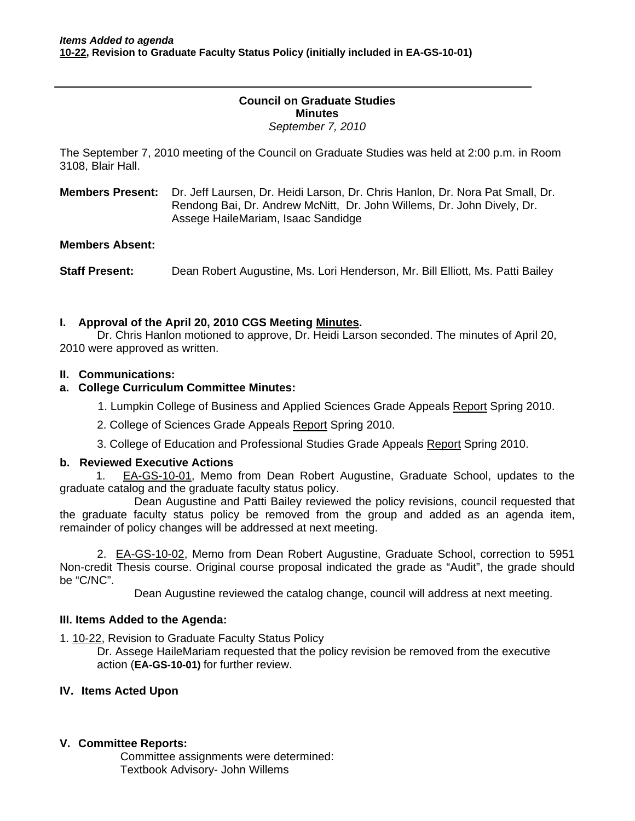### **Council on Graduate Studies Minutes**  *September 7, 2010*

The September 7, 2010 meeting of the Council on Graduate Studies was held at 2:00 p.m. in Room 3108, Blair Hall.

**Members Present:** Dr. Jeff Laursen, Dr. Heidi Larson, Dr. Chris Hanlon, Dr. Nora Pat Small, Dr. Rendong Bai, Dr. Andrew McNitt, Dr. John Willems, Dr. John Dively, Dr. Assege HaileMariam, Isaac Sandidge

#### **Members Absent:**

**Staff Present:** Dean Robert Augustine, Ms. Lori Henderson, Mr. Bill Elliott, Ms. Patti Bailey

### **I. Approval of the April 20, 2010 CGS Meetin[g Minutes.](http://castle.eiu.edu/~eiucgs/currentminutes/Minutes4-20-10.pdf)**

 Dr. Chris Hanlon motioned to approve, Dr. Heidi Larson seconded. The minutes of April 20, 2010 were approved as written.

### **II. Communications:**

### **a. College Curriculum Committee Minutes:**

1. Lumpkin College of Business and Applied Sciences Grade Appeal[s Report](http://castle.eiu.edu/~eiucgs/currentagendaitems/LCBASMin4-12-10.pdf) Spring 2010.

- 2. College of Sciences Grade Appeal[s Report S](http://castle.eiu.edu/~eiucgs/currentagendaitems/LCBASMin4-12-10.pdf)pring 2010.
- 3. College of Education and Professional Studies Grade Appea[ls Report S](http://castle.eiu.edu/~eiucgs/currentagendaitems/LCBASMin4-12-10.pdf)pring 2010.

### **b. Reviewed Executive Actions**

1.[EA-GS-10-01, Mem](http://www.eiu.edu/~eiucgs/exec-actions/EA-GS-10-01.pdf)o from Dean Robert Augustine, Graduate School, updates to the graduate catalog and the graduate faculty status policy.

 Dean Augustine and Patti Bailey reviewed the policy revisions, council requested that the graduate faculty status policy be removed from the group and added as an agenda item, remainder of policy changes will be addressed at next meeting.

2[. EA-GS-10-02, Me](http://www.eiu.edu/~eiucgs/exec-actions/EA-GS-10-02.pdf)mo from Dean Robert Augustine, Graduate School, correction to 5951 Non-credit Thesis course. Original course proposal indicated the grade as "Audit", the grade should be "C/NC".

Dean Augustine reviewed the catalog change, council will address at next meeting.

### **III. Items Added to the Agenda:**

[1. 10-22, R](http://www.eiu.edu/~eiucgs/currentagendaitems/agenda10-22.pdf)evision to Graduate Faculty Status Policy

Dr. Assege HaileMariam requested that the policy revision be removed from the executive action (**EA-GS-10-01)** for further review.

## **IV. Items Acted Upon**

### **V. Committee Reports:**

Committee assignments were determined: Textbook Advisory- John Willems